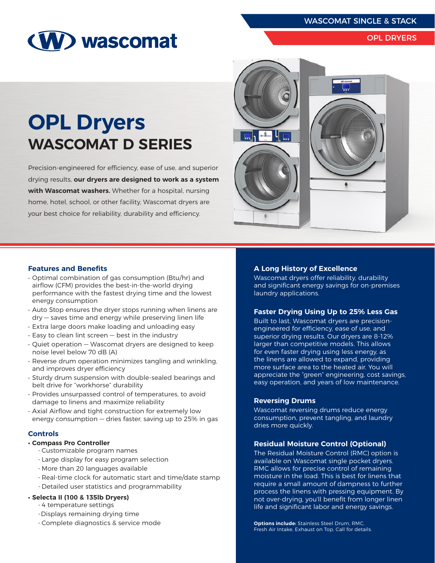WASCOMAT SINGLE & STACK

# (W) wascomat

#### OPL DRYERS

## **OPL Dryers WASCOMAT D SERIES**

Precision-engineered for efficiency, ease of use, and superior drying results, **our dryers are designed to work as a system with Wascomat washers.** Whether for a hospital, nursing home, hotel, school, or other facility, Wascomat dryers are your best choice for reliability, durability and efficiency.



#### **Features and Benefits**

- Optimal combination of gas consumption (Btu/hr) and airflow (CFM) provides the best-in-the-world drying performance with the fastest drying time and the lowest energy consumption
- Auto Stop ensures the dryer stops running when linens are dry — saves time and energy while preserving linen life
- Extra large doors make loading and unloading easy
- $\cdot$  Easy to clean lint screen  $-$  best in the industry
- Quiet operation Wascomat dryers are designed to keep noise level below 70 dB (A)
- Reverse drum operation minimizes tangling and wrinkling, and improves dryer efficiency
- Sturdy drum suspension with double-sealed bearings and belt drive for "workhorse" durability
- Provides unsurpassed control of temperatures, to avoid damage to linens and maximize reliability
- Axial Airflow and tight construction for extremely low energy consumption — dries faster, saving up to 25% in gas

#### **Controls**

#### **• Compass Pro Controller**

- Customizable program names
- Large display for easy program selection
- More than 20 languages available
- Real-time clock for automatic start and time/date stamp
- Detailed user statistics and programmability
- **• Selecta II (100 & 135lb Dryers)**
	- 4 temperature settings
	- -Displays remaining drying time
	- Complete diagnostics & service mode

#### **A Long History of Excellence**

Wascomat dryers offer reliability, durability and significant energy savings for on-premises laundry applications.

#### **Faster Drying Using Up to 25% Less Gas**

Built to last, Wascomat dryers are precisionengineered for efficiency, ease of use, and superior drying results. Our dryers are 8-12% larger than competitive models. This allows for even faster drying using less energy, as the linens are allowed to expand, providing more surface area to the heated air. You will appreciate the "green" engineering, cost savings, easy operation, and years of low maintenance.

#### **Reversing Drums**

Wascomat reversing drums reduce energy consumption, prevent tangling, and laundry dries more quickly.

#### **Residual Moisture Control (Optional)**

The Residual Moisture Control (RMC) option is available on Wascomat single pocket dryers. RMC allows for precise control of remaining moisture in the load. This is best for linens that require a small amount of dampness to further process the linens with pressing equipment. By not over-drying, you'll benefit from longer linen life and significant labor and energy savings.

**Options include:** Stainless Steel Drum, RMC, Fresh Air Intake, Exhaust on Top. Call for details.